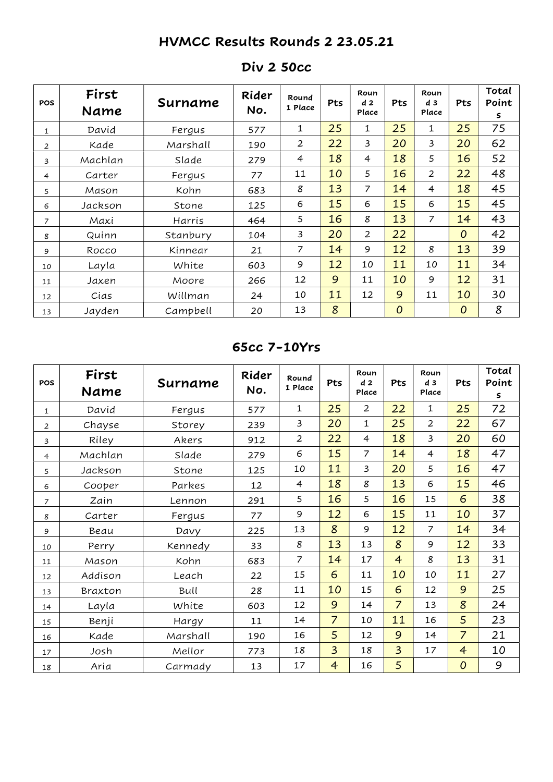# HVMCC Results Rounds 2 23.05.21

| <b>POS</b>     | First<br>Name | Surname  | Rider<br>No. | Round<br>1 Place | Pts | Roun<br>d <sub>2</sub><br>Place | <b>Pts</b>     | Roun<br>d <sub>3</sub><br>Place | Pts            | Total<br>Point<br>2 |
|----------------|---------------|----------|--------------|------------------|-----|---------------------------------|----------------|---------------------------------|----------------|---------------------|
| 1              | David         | Fergus   | 577          | 1                | 25  | 1                               | 25             | 1                               | 25             | 75                  |
| 2              | Kade          | Marshall | 190          | $\overline{2}$   | 22  | 3                               | 20             | 3                               | 20             | 62                  |
| 3              | Machlan       | Slade    | 279          | $\overline{4}$   | 18  | $\overline{4}$                  | 18             | 5                               | 16             | 52                  |
| $\overline{4}$ | Carter        | Fergus   | 77           | 11               | 10  | 5                               | 16             | $\overline{2}$                  | 22             | 48                  |
| 5              | Mason         | Kohn     | 683          | 8                | 13  | 7                               | 14             | $\overline{4}$                  | 18             | 45                  |
| 6              | Jackson       | Stone    | 125          | 6                | 15  | 6                               | 15             | 6                               | 15             | 45                  |
| 7              | Maxi          | Harris   | 464          | 5                | 16  | 8                               | 13             | $\overline{7}$                  | 14             | 43                  |
| 8              | Quinn         | Stanbury | 104          | 3                | 20  | $\overline{2}$                  | 22             |                                 | $\overline{O}$ | 42                  |
| 9              | Rocco         | Kinnear  | 21           | 7                | 14  | 9                               | 12             | 8                               | 13             | 39                  |
| 10             | Layla         | White    | 603          | 9                | 12  | 10                              | 11             | 10                              | 11             | 34                  |
| 11             | Jaxen         | Moore    | 266          | 12               | 9   | 11                              | 10             | 9                               | 12             | 31                  |
| 12             | Cias          | Willman  | 24           | 10               | 11  | 12                              | 9              | 11                              | 10             | 30                  |
| 13             | Jayden        | Campbell | 20           | 13               | 8   |                                 | $\overline{0}$ |                                 | 0              | 8                   |

#### Div 2 50cc

#### 65cc 7-10Yrs

| POS            | First<br>Name | Surname  | Rider<br>No. | Round<br>1 Place | Pts            | Roun<br>d <sub>2</sub><br>Place | Pts            | Roun<br>d <sub>3</sub><br>Place | Pts              | Total<br>Point<br>2 |
|----------------|---------------|----------|--------------|------------------|----------------|---------------------------------|----------------|---------------------------------|------------------|---------------------|
| $\mathbf{1}$   | David         | Fergus   | 577          | $\mathbf{1}$     | 25             | $\overline{2}$                  | 22             | 1                               | 25               | 72                  |
| $\overline{2}$ | Chayse        | Storey   | 239          | 3                | 20             | 1                               | 25             | $\overline{2}$                  | 22               | 67                  |
| 3              | Riley         | Akers    | 912          | $\overline{2}$   | 22             | $\overline{4}$                  | 18             | 3                               | 20               | 60                  |
| 4              | Machlan       | Slade    | 279          | 6                | 15             | $\overline{7}$                  | 14             | $\overline{4}$                  | 18               | 47                  |
| 5              | Jackson       | Stone    | 125          | 10               | 11             | 3                               | 20             | 5                               | 16               | 47                  |
| 6              | Cooper        | Parkes   | 12           | $\overline{4}$   | 18             | 8                               | 13             | 6                               | 15               | 46                  |
| 7              | Zain          | Lennon   | 291          | 5                | 16             | 5                               | 16             | 15                              | 6                | 38                  |
| 8              | Carter        | Fergus   | 77           | 9                | 12             | 6                               | 15             | 11                              | 10               | 37                  |
| 9              | Beau          | Davy     | 225          | 13               | 8              | 9                               | 12             | $\overline{7}$                  | 14               | 34                  |
| 10             | Perry         | Kennedy  | 33           | $\boldsymbol{g}$ | 13             | 13                              | 8              | 9                               | 12               | 33                  |
| 11             | Mason         | Kohn     | 683          | $\overline{7}$   | 14             | 17                              | $\overline{4}$ | 8                               | 13               | 31                  |
| 12             | Addison       | Leach    | 22           | 15               | 6              | 11                              | 10             | 10                              | 11               | 27                  |
| 13             | Braxton       | Bull     | 28           | 11               | 10             | 15                              | 6              | 12                              | 9                | 25                  |
| 14             | Layla         | White    | 603          | 12               | 9              | 14                              | $\overline{7}$ | 13                              | 8                | 24                  |
| 15             | Benji         | Hargy    | 11           | 14               | $\overline{7}$ | 10                              | 11             | 16                              | 5                | 23                  |
| 16             | Kade          | Marshall | 190          | 16               | 5              | 12                              | 9              | 14                              | $\overline{7}$   | 21                  |
| 17             | Josh          | Mellor   | 773          | 18               | $\overline{3}$ | 18                              | $\overline{3}$ | 17                              | $\overline{4}$   | 10                  |
| 18             | Aria          | Carmady  | 13           | 17               | $\overline{4}$ | 16                              | 5              |                                 | $\boldsymbol{0}$ | 9                   |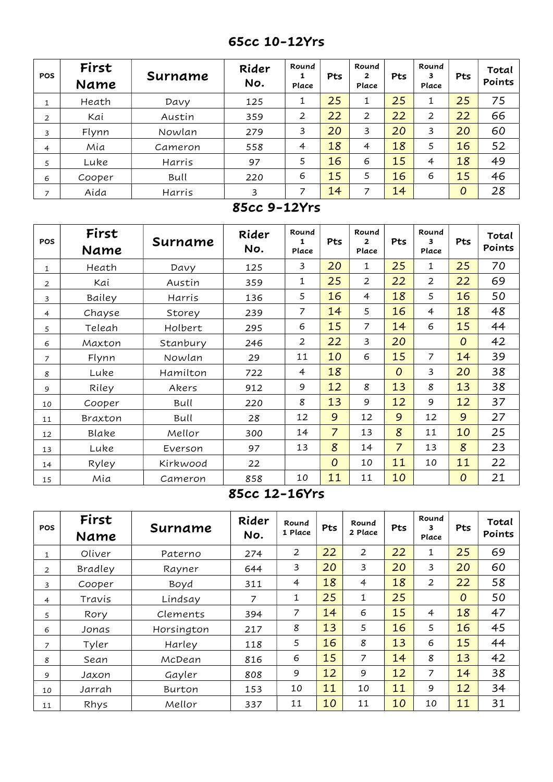## 65cc 10-12Yrs

| <b>POS</b>     | First<br>Name | Surname | Rider<br>No. | Round<br>┻<br>Place | Pts | Round<br>2<br>Place | <b>Pts</b> | Round<br>3<br>Place | Pts | Total<br>Points |
|----------------|---------------|---------|--------------|---------------------|-----|---------------------|------------|---------------------|-----|-----------------|
| 1              | Heath         | Davy    | 125          | 1                   | 25  | 1                   | 25         | 1                   | 25  | 75              |
| 2              | Kai           | Austin  | 359          | 2                   | 22  | 2                   | 22         | 2                   | 22  | 66              |
| 3              | Flynn         | Nowlan  | 279          | 3                   | 20  | 3                   | 20         | 3                   | 20  | 60              |
| 4              | Mia           | Cameron | 558          | $\overline{4}$      | 18  | 4                   | 18         | 5                   | 16  | 52              |
| 5              | Luke          | Harris  | 97           | 5                   | 16  | 6                   | 15         | 4                   | 18  | 49              |
| 6              | Cooper        | Bull    | 220          | 6                   | 15  | 5                   | 16         | 6                   | 15  | 46              |
| $\overline{ }$ | Aida          | Harris  | 3            | 7                   | 14  | 7                   | 14         |                     | 0   | 28              |

#### 85cc 9-12Yrs

| <b>POS</b>     | First<br>Name | Surname  | Rider<br>No. | Round<br>1<br>Place | Pts            | Round<br>2<br>Place | Pts            | Round<br>3<br>Place | Pts            | Total<br>Points |
|----------------|---------------|----------|--------------|---------------------|----------------|---------------------|----------------|---------------------|----------------|-----------------|
| 1              | Heath         | Davy     | 125          | 3                   | 20             | 1                   | 25             | 1                   | 25             | 70              |
| 2              | Kai           | Austin   | 359          | 1                   | 25             | 2                   | 22             | 2                   | 22             | 69              |
| 3              | Bailey        | Harris   | 136          | 5                   | 16             | $\overline{4}$      | 18             | 5                   | 16             | 50              |
| $\overline{4}$ | Chayse        | Storey   | 239          | 7                   | 14             | 5                   | 16             | $\overline{4}$      | 18             | 48              |
| 5              | Teleah        | Holbert  | 295          | 6                   | 15             | $\overline{7}$      | 14             | 6                   | 15             | 44              |
| 6              | Maxton        | Stanbury | 246          | $\overline{2}$      | 22             | 3                   | 20             |                     | $\overline{O}$ | 42              |
| 7              | Flynn         | Nowlan   | 29           | 11                  | 10             | 6                   | 15             | $\overline{7}$      | 14             | 39              |
| 8              | Luke          | Hamilton | 722          | $\overline{4}$      | 18             |                     | $\overline{O}$ | 3                   | 20             | 38              |
| 9              | Riley         | Akers    | 912          | 9                   | 12             | 8                   | 13             | 8                   | 13             | 38              |
| 10             | Cooper        | Bull     | 220          | 8                   | 13             | 9                   | 12             | 9                   | 12             | 37              |
| 11             | Braxton       | Bull     | 28           | 12                  | 9              | 12                  | 9              | 12                  | 9              | 27              |
| 12             | Blake         | Mellor   | 300          | 14                  | $\overline{7}$ | 13                  | 8              | 11                  | 10             | 25              |
| 13             | Luke          | Everson  | 97           | 13                  | 8              | 14                  | $\overline{7}$ | 13                  | 8              | 23              |
| 14             | Ryley         | Kirkwood | 22           |                     | $\overline{O}$ | 10                  | 11             | 10                  | 11             | 22              |
| 15             | Mia           | Cameron  | 858          | 10                  | 11             | 11                  | 10             |                     | $\overline{O}$ | 21              |

#### 85cc 12-16Yrs

| <b>POS</b>     | First<br>Name  | Surname    | Rider<br>No. | Round<br>1 Place | Pts | Round<br>2 Place | Pts | Round<br>3<br>Place | Pts            | Total<br>Points |
|----------------|----------------|------------|--------------|------------------|-----|------------------|-----|---------------------|----------------|-----------------|
| $\mathbf{1}$   | Oliver         | Paterno    | 274          | $\overline{2}$   | 22  | 2                | 22  | 1                   | 25             | 69              |
| $\overline{2}$ | <b>Bradley</b> | Rayner     | 644          | 3                | 20  | 3                | 20  | 3                   | 20             | 60              |
| 3              | Cooper         | Boyd       | 311          | $\overline{4}$   | 18  | 4                | 18  | 2                   | 22             | 58              |
| 4              | Travis         | Lindsay    | 7            | 1                | 25  | 1                | 25  |                     | $\overline{O}$ | 50              |
| 5              | Rory           | Clements   | 394          | 7                | 14  | 6                | 15  | 4                   | 18             | 47              |
| 6              | Jonas          | Horsington | 217          | 8                | 13  | 5                | 16  | 5                   | 16             | 45              |
| $\overline{z}$ | Tyler          | Harley     | 118          | 5                | 16  | 8                | 13  | 6                   | 15             | 44              |
| 8              | Sean           | McDean     | 816          | 6                | 15  | 7                | 14  | 8                   | 13             | 42              |
| 9              | Jaxon          | Gayler     | 808          | 9                | 12  | 9                | 12  | 7                   | 14             | 38              |
| 10             | Jarrah         | Burton     | 153          | 10               | 11  | 10               | 11  | 9                   | 12             | 34              |
| 11             | Rhys           | Mellor     | 337          | 11               | 10  | 11               | 10  | 10                  | 11             | 31              |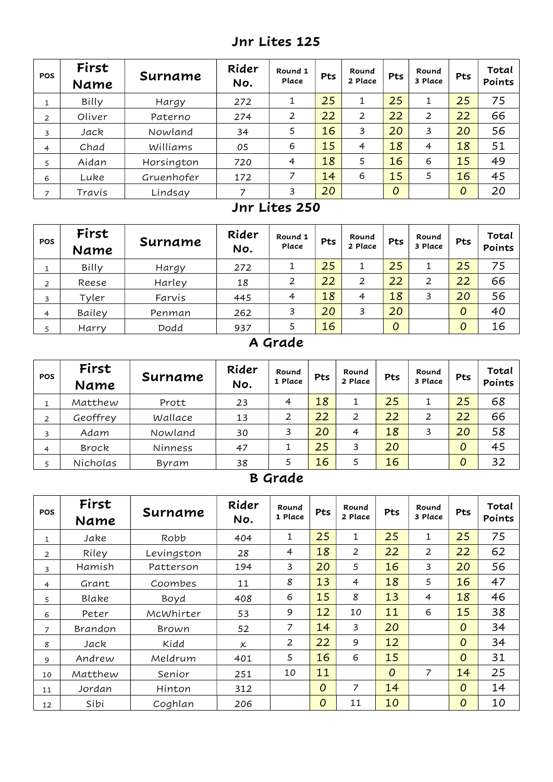## Jnr Lites 125

| <b>POS</b>     | First<br>Name | Surname    | Rider<br>No. | Round 1<br>Place | Pts | Round<br>2 Place | Pts            | Round<br>3 Place | Pts            | Total<br>Points |
|----------------|---------------|------------|--------------|------------------|-----|------------------|----------------|------------------|----------------|-----------------|
|                | Billy         | Hargy      | 272          |                  | 25  | 1                | 25             |                  | 25             | 75              |
| 2              | Oliver        | Paterno    | 274          | 2                | 22  | $\overline{2}$   | 22             | 2                | 22             | 66              |
| 3              | Jack          | Nowland    | 34           | 5                | 16  | 3                | 20             | 3                | 20             | 56              |
| $\overline{4}$ | Chad          | Williams   | 05           | 6                | 15  | 4                | 18             | $\overline{4}$   | 18             | 51              |
| 5              | Aidan         | Horsington | 720          | $\overline{4}$   | 18  | 5                | 16             | 6                | 15             | 49              |
| 6              | Luke          | Gruenhofer | 172          | 7                | 14  | 6                | 15             | 5                | 16             | 45              |
| ⇁              | Travis        | Lindsay    | 7            | 3                | 20  |                  | $\overline{0}$ |                  | $\overline{O}$ | 20              |

#### Jnr Lites 250

| <b>POS</b> | First<br>Name | Surname | Rider<br>No. | Round 1<br>Place | Pts | Round<br>2 Place | Pts | Round<br>3 Place | Pts | Total<br>Points |
|------------|---------------|---------|--------------|------------------|-----|------------------|-----|------------------|-----|-----------------|
|            | Billy         | Hargy   | 272          |                  | 25  | ┻                | 25  |                  | 25  | 75              |
| 2          | Reese         | Harley  | 18           | 2                | 22  | 2                | 22  | 2                | 22  | 66              |
| 3          | Tyler         | Farvis  | 445          | $\overline{4}$   | 18  | 4                | 18  | 3                | 20  | 56              |
| 4          | Bailey        | Penman  | 262          | 3                | 20  | 3                | 20  |                  | 0   | 40              |
|            | Harry         | Dodd    | 937          |                  | 16  |                  | 0   |                  | 0   | 16              |

# A Grade

| <b>POS</b>     | First<br>Name | Surname | Rider<br>No. | Round<br>1 Place | Pts | Round<br>2 Place | Pts | Round<br>3 Place | Pts            | Total<br>Points |
|----------------|---------------|---------|--------------|------------------|-----|------------------|-----|------------------|----------------|-----------------|
|                | Matthew       | Prott   | 23           | $\overline{4}$   | 18  |                  | 25  |                  | 25             | 68              |
| 2              | Geoffrey      | Wallace | 13           | 2                | 22  | 2                | 22  | 2                | 22             | 66              |
| 3              | Adam          | Nowland | 30           | 3                | 20  | 4                | 18  | 3                | 20             | 58              |
| $\overline{4}$ | Brock         | Ninness | 47           |                  | 25  | 3                | 20  |                  | $\overline{O}$ | 45              |
|                | Nicholas      | Byram   | 38           |                  | 16  |                  | 16  |                  | 0              | 32              |

# B Grade

| <b>POS</b>     | First<br>Name | Surname    | Rider<br>No.              | Round<br>1 Place | Pts            | Round<br>2 Place | Pts            | Round<br>3 Place | Pts            | Total<br>Points |
|----------------|---------------|------------|---------------------------|------------------|----------------|------------------|----------------|------------------|----------------|-----------------|
| 1              | Jake          | Robb       | 404                       | 1                | 25             | 1                | 25             | 1                | 25             | 75              |
| $\overline{2}$ | Riley         | Levingston | 28                        | 4                | 18             | $\overline{2}$   | 22             | $\overline{2}$   | 22             | 62              |
| 3              | Hamish        | Patterson  | 194                       | 3                | 20             | 5                | 16             | 3                | 20             | 56              |
| $\overline{4}$ | Grant         | Coombes    | 11                        | 8                | 13             | 4                | 18             | 5                | 16             | 47              |
| 5              | Blake         | Boyd       | 408                       | 6                | 15             | 8                | 13             | $\overline{4}$   | 18             | 46              |
| 6              | Peter         | McWhirter  | 53                        | 9                | 12             | 10               | 11             | 6                | 15             | 38              |
| $\overline{7}$ | Brandon       | Brown      | 52                        | 7                | 14             | 3                | 20             |                  | $\overline{O}$ | 34              |
| 8              | Jack          | Kidd       | $\boldsymbol{\mathsf{x}}$ | $\overline{2}$   | 22             | 9                | 12             |                  | 0              | 34              |
| 9              | Andrew        | Meldrum    | 401                       | 5                | 16             | 6                | 15             |                  | 0              | 31              |
| 10             | Matthew       | Senior     | 251                       | 10               | 11             |                  | $\overline{O}$ | 7                | 14             | 25              |
| 11             | Jordan        | Hinton     | 312                       |                  | $\overline{O}$ | 7                | 14             |                  | 0              | 14              |
| 12             | Sibi          | Coghlan    | 206                       |                  | $\overline{O}$ | 11               | 10             |                  | 0              | 10              |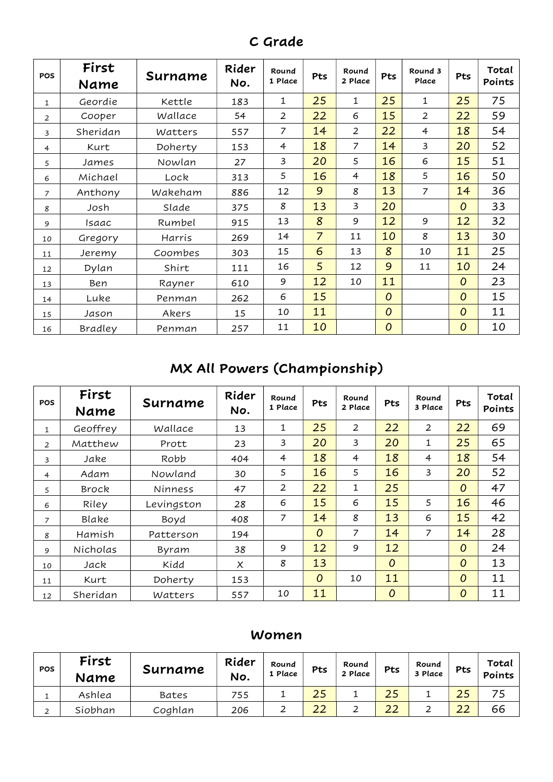| <b>POS</b>     | First<br>Name | Surname | Rider<br>No. | Round<br>1 Place | Pts            | Round<br>2 Place | Pts            | Round 3<br>Place | Pts            | Total<br>Points |
|----------------|---------------|---------|--------------|------------------|----------------|------------------|----------------|------------------|----------------|-----------------|
| $\mathbf{1}$   | Geordie       | Kettle  | 183          | $\mathbf{1}$     | 25             | 1                | 25             | 1                | 25             | 75              |
| $\overline{2}$ | Cooper        | Wallace | 54           | $\overline{2}$   | 22             | 6                | 15             | $\overline{2}$   | 22             | 59              |
| 3              | Sheridan      | Watters | 557          | 7                | 14             | $\overline{2}$   | 22             | $\overline{4}$   | 18             | 54              |
| 4              | Kurt          | Doherty | 153          | $\overline{4}$   | 18             | $\overline{7}$   | 14             | 3                | 20             | 52              |
| 5              | James         | Nowlan  | 27           | 3                | 20             | 5                | 16             | 6                | 15             | 51              |
| 6              | Michael       | Lock    | 313          | 5                | 16             | $\overline{4}$   | 18             | 5                | 16             | 50              |
| $\overline{7}$ | Anthony       | Wakeham | 886          | 12               | 9              | 8                | 13             | $\overline{7}$   | 14             | 36              |
| 8              | Josh          | Slade   | 375          | 8                | 13             | $\overline{3}$   | 20             |                  | $\overline{O}$ | 33              |
| 9              | Isaac         | Rumbel  | 915          | 13               | 8              | 9                | 12             | 9                | 12             | 32              |
| 10             | Gregory       | Harris  | 269          | 14               | $\overline{7}$ | 11               | 10             | 8                | 13             | 30              |
| 11             | Jeremy        | Coombes | 303          | 15               | 6              | 13               | 8              | 10               | 11             | 25              |
| 12             | Dylan         | Shirt   | 111          | 16               | 5              | 12               | 9              | 11               | 10             | 24              |
| 13             | Ben           | Rayner  | 610          | 9                | 12             | 10               | 11             |                  | $\overline{O}$ | 23              |
| 14             | Luke          | Penman  | 262          | 6                | 15             |                  | $\overline{O}$ |                  | $\overline{O}$ | 15              |
| 15             | Jason         | Akers   | 15           | 10               | 11             |                  | 0              |                  | $\overline{O}$ | 11              |
| 16             | Bradley       | Penman  | 257          | 11               | 10             |                  | $\overline{0}$ |                  | $\overline{O}$ | 10              |

C Grade

# MX All Powers (Championship)

| <b>POS</b>     | First<br>Name | Surname    | Rider<br>No. | Round<br>1 Place | Pts            | Round<br>2 Place | Pts            | Round<br>3 Place | Pts            | Total<br>Points |
|----------------|---------------|------------|--------------|------------------|----------------|------------------|----------------|------------------|----------------|-----------------|
| 1              | Geoffrey      | Wallace    | 13           | 1                | 25             | $\overline{2}$   | 22             | 2                | 22             | 69              |
| $\overline{2}$ | Matthew       | Prott      | 23           | 3                | 20             | 3                | 20             | $\mathbf{1}$     | 25             | 65              |
| 3              | Jake          | Robb       | 404          | $\overline{4}$   | 18             | $\overline{4}$   | 18             | $\overline{4}$   | 18             | 54              |
| $\overline{4}$ | Adam          | Nowland    | 30           | 5                | 16             | 5                | 16             | 3                | 20             | 52              |
| 5              | Brock         | Ninness    | 47           | 2                | 22             | 1                | 25             |                  | $\overline{O}$ | 47              |
| 6              | Riley         | Levingston | 28           | 6                | 15             | 6                | 15             | 5                | 16             | 46              |
| $\overline{z}$ | Blake         | Boyd       | 408          | 7                | 14             | 8                | 13             | 6                | 15             | 42              |
| 8              | Hamish        | Patterson  | 194          |                  | $\overline{O}$ | $\overline{7}$   | 14             | 7                | 14             | 28              |
| 9              | Nicholas      | Byram      | 38           | 9                | 12             | 9                | 12             |                  | $\overline{O}$ | 24              |
| 10             | Jack          | Kidd       | $\times$     | 8                | 13             |                  | $\overline{O}$ |                  | $\overline{O}$ | 13              |
| 11             | Kurt          | Doherty    | 153          |                  | $\overline{O}$ | 10               | 11             |                  | $\overline{O}$ | 11              |
| 12             | Sheridan      | Watters    | 557          | 10               | 11             |                  | 0              |                  | 0              | 11              |

#### Women

| <b>POS</b> | First<br>Name | Surname | Rider<br>No. | Round<br>1 Place | Pts | Round<br>2 Place | Pts           | Round<br>3 Place | Pts | Total<br><b>Points</b> |
|------------|---------------|---------|--------------|------------------|-----|------------------|---------------|------------------|-----|------------------------|
|            | Ashlea        | Bates   | 755          |                  | 25  |                  | つに            |                  |     |                        |
| ⌒          | Siobhan       | Coghlan | 206          | ∸                | 22  | ∸                | $\cap$<br>ے ـ |                  | 22  | 66                     |